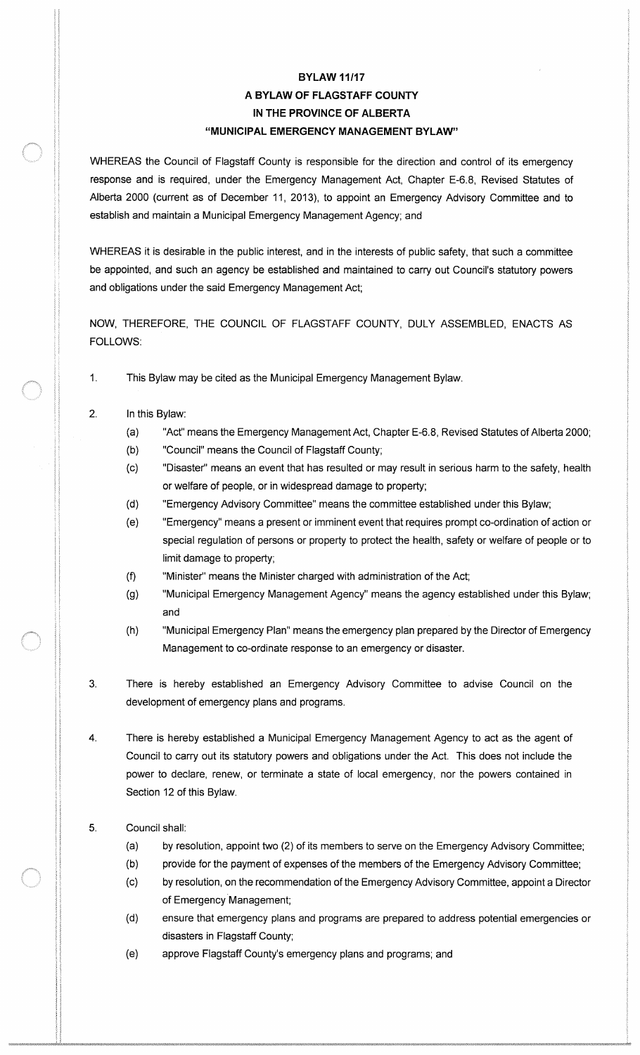## **BYLAW 11/17** A BYLAW OF FLAGSTAFF COUNTY IN THE PROVINCE OF ALBERTA MUNICIPAL EMERGENCY MANAGEMENT BYLAW"

WHEREAS the Council of Flagstaff County is responsible for the direction and control of its emergency response and is required, under the Emergency Management Act, Chapter E-6.8, Revised Statutes of Alberta 2000 (current as of December 11, 2013), to appoint an Emergency Advisory Committee and to establish and maintain a Municipal Emergency Management Agency; and

WHEREAS it is desirable in the public interest, and in the interests of public safety, that such a committee be appointed, and such an agency be established and maintained to carry out Council's statutory powers and obligations under the said Emergency Management Act;

NOW, THEREFORE, THE COUNCIL OF FLAGSTAFF COUNTY, DULY ASSEMBLED, ENACTS AS FOLLOWS:

- 1. This Bylaw may be cited as the Municipal Emergency Management Bylaw.
- 2. In this Bylaw:
	- (a) "Act" means the Emergency Management Act, Chapter E-6.8, Revised Statutes of Alberta 2000;
	- b) " Council" means the Council of Flagstaff County;
	- c) " Disaster" means an event that has resulted or may result in serious harm to the safety, health or welfare of people, or in widespread damage to property;
	- d) " Emergency Advisory Committee" means the committee established under this Bylaw;
	- e) " Emergency" means a present or imminent event that requires prompt co-ordination of action or special regulation of persons or property to protect the health, safety or welfare of people or to limit damage to property;
	- f) " Minister" means the Minister charged with administration of the Act;
	- g) " Municipal Emergency Management Agency" means the agency established under this Bylaw; and
	- h) " Municipal Emergency Plan" means the emergency plan prepared by the Director of Emergency Management to co-ordinate response to an emergency or disaster.
- 3. There is hereby established an Emergency Advisory Committee to advise Council on the development of emergency plans and programs.
- 4. There is hereby established a Municipal Emergency Management Agency to act as the agent of Council to carry out its statutory powers and obligations under the Act. This does not include the power to declare, renew, or terminate a state of local emergency, nor the powers contained in Section 12 of this Bylaw.

## 5. Council shall:

- (a) by resolution, appoint two (2) of its members to serve on the Emergency Advisory Committee;
- b) provide for the payment of expenses of the members of the Emergency Advisory Committee;
- c) by resolution, on the recommendation of the Emergency Advisory Committee, appoint <sup>a</sup> Director of Emergency Management;
- d) ensure that emergency plans and programs are prepared to address potential emergencies or disasters in Flagstaff County;
- (e) approve Flagstaff County's emergency plans and programs; and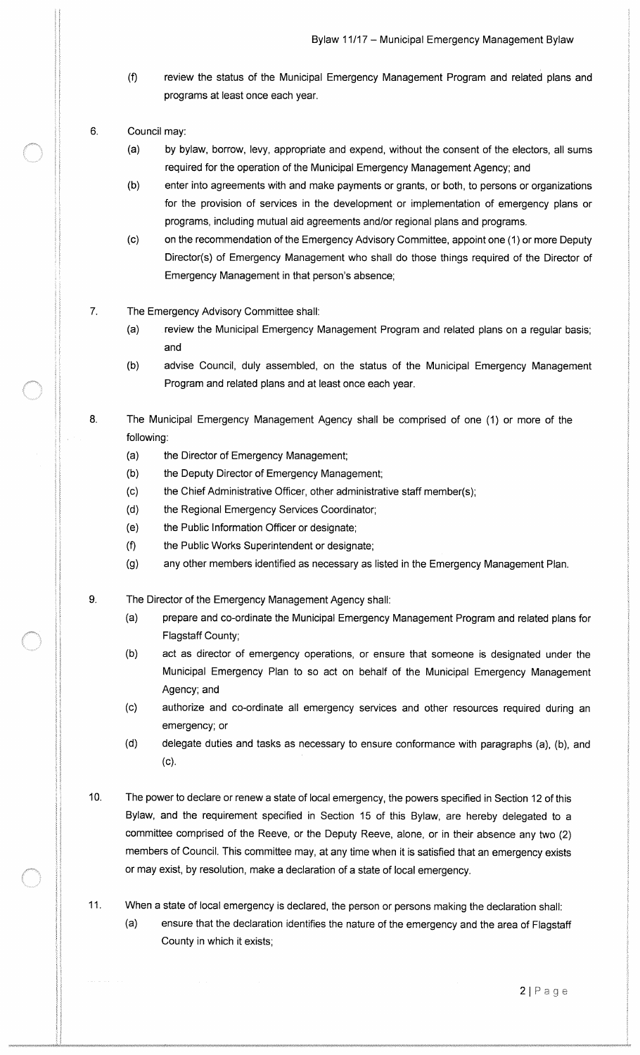- f) review the status of the Municipal Emergency Management Program and related plans and programs at least once each year.
- 6. Council may:
	- a) by bylaw, borrow, levy, appropriate and expend, without the consent of the electors, all sums required for the operation of the Municipal Emergency Management Agency; and
	- b) enter into agreements with and make payments or grants, or both, to persons or organizations for the provision of services in the development or implementation of emergency plans or programs, including mutual aid agreements and/or regional plans and programs.
	- c) on the recommendation of the Emergency Advisory Committee, appoint one ( 1) or more Deputy Director(s) of Emergency Management who shall do those things required of the Director of Emergency Management in that person's absence;
- 7. The Emergency Advisory Committee shall:
	- a) review the Municipal Emergency Management Program and related plans on a regular basis; and
	- b) advise Council, duly assembled, on the status of the Municipal Emergency Management Program and related plans and at least once each year.
- 8. The Municipal Emergency Management Agency shall be comprised of one (1) or more of the following:
	- a) the Director of Emergency Management;
	- b) the Deputy Director of Emergency Management;
	- c) the Chief Administrative Officer, other administrative staff member( s);
	- d) the Regional Emergency Services Coordinator;
	- e) the Public Information Officer or designate;
	- f) the Public Works Superintendent or designate;
	- g) any other members identified as necessary as listed in the Emergency Management Plan.
- 9. The Director of the Emergency Management Agency shall:
	- (a) prepare and co-ordinate the Municipal Emergency Management Program and related plans for Flagstaff County;
	- b) act as director of emergency operations, or ensure that someone is designated under the Municipal Emergency Plan to so act on behalf of the Municipal Emergency Management Agency; and
	- c) authorize and co- ordinate all emergency services and other resources required during an emergency; or
	- (d) delegate duties and tasks as necessary to ensure conformance with paragraphs (a), (b), and c).
- 10. The power to declare or renew <sup>a</sup> state of local emergency, the powers specified in Section <sup>12</sup> of this Bylaw, and the requirement specified in Section 15 of this Bylaw, are hereby delegated to a committee comprised of the Reeve, or the Deputy Reeve, alone, or in their absence any two (2) members of Council. This committee may, at any time when it is satisfied that an emergency exists or may exist, by resolution, make a declaration of a state of local emergency.
- 11. When <sup>a</sup> state of local emergency is declared, the person or persons making the declaration shall: a) ensure that the declaration identifies the nature of the emergency and the area of Flagstaff County in which it exists;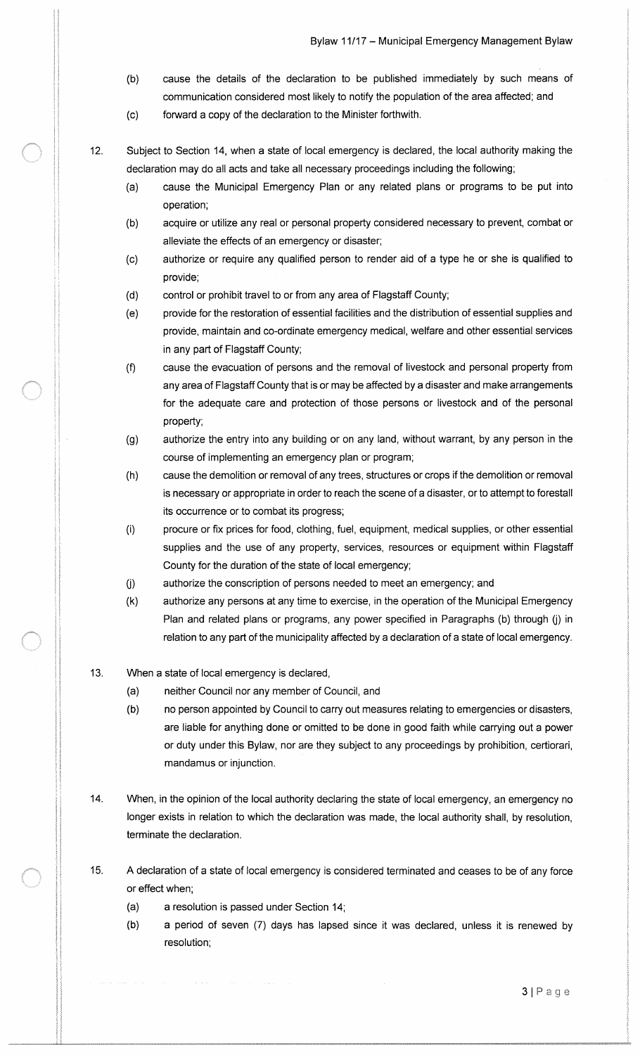- b) cause the details of the declaration to be published immediately by such means of communication considered most likely to notify the population of the area affected; and
- c) forward a copy of the declaration to the Minister forthwith.
- 12. Subject to Section 14, when a state of local emergency is declared, the local authority making the declaration may do all acts and take all necessary proceedings including the following;
	- a) cause the Municipal Emergency Plan or any related plans or programs to be put into operation;
	- b) acquire or utilize any real or personal property considered necessary to prevent, combat or alleviate the effects of an emergency or disaster;
	- c) authorize or require any qualified person to render aid of <sup>a</sup> type he or she is qualified to provide;
	- d) control or prohibit travel to or from any area of Flagstaff County;
	- e) provide for the restoration of essential facilities and the distribution of essential supplies and provide, maintain and co-ordinate emergency medical, welfare and other essential services in any part of Flagstaff County;
	- f) cause the evacuation of persons and the removal of livestock and personal property from any area of Flagstaff County that is or may be affected by a disaster and make arrangements for the adequate care and protection of those persons or livestock and of the personal property;
	- g) authorize the entry into any building or on any land, without warrant, by any person in the course of implementing an emergency plan or program;
	- h) cause the demolition or removal of any trees, structures or crops if the demolition or removal is necessary or appropriate in order to reach the scene of a disaster, or to attempt to forestall its occurrence or to combat its progress;
	- i) procure or fix prices for food, clothing, fuel, equipment, medical supplies, or other essential supplies and the use of any property, services, resources or equipment within Flagstaff County for the duration of the state of local emergency;
	- j) authorize the conscription of persons needed to meet an emergency; and
	- k) authorize any persons at any time to exercise, in the operation of the Municipal Emergency Plan and related plans or programs, any power specified in Paragraphs (b) through (j) in relation to any part of the municipality affected by a declaration of a state of local emergency.
- 13. When a state of local emergency is declared,
	- a) neither Council nor any member of Council, and
	- b) no person appointed by Council to carry out measures relating to emergencies or disasters, are liable for anything done or omitted to be done in good faith while carrying out a power or duty under this Bylaw, nor are they subject to any proceedings by prohibition, certiorari, mandamus or injunction.
- 14. When, in the opinion of the local authority declaring the state of local emergency, an emergency no longer exists in relation to which the declaration was made, the local authority shall, by resolution, terminate the declaration.
- 15. A declaration of a state of local emergency is considered terminated and ceases to be of any force or effect when;
	- a) a resolution is passed under Section 14;
	- (b) a period of seven (7) days has lapsed since it was declared, unless it is renewed by resolution;